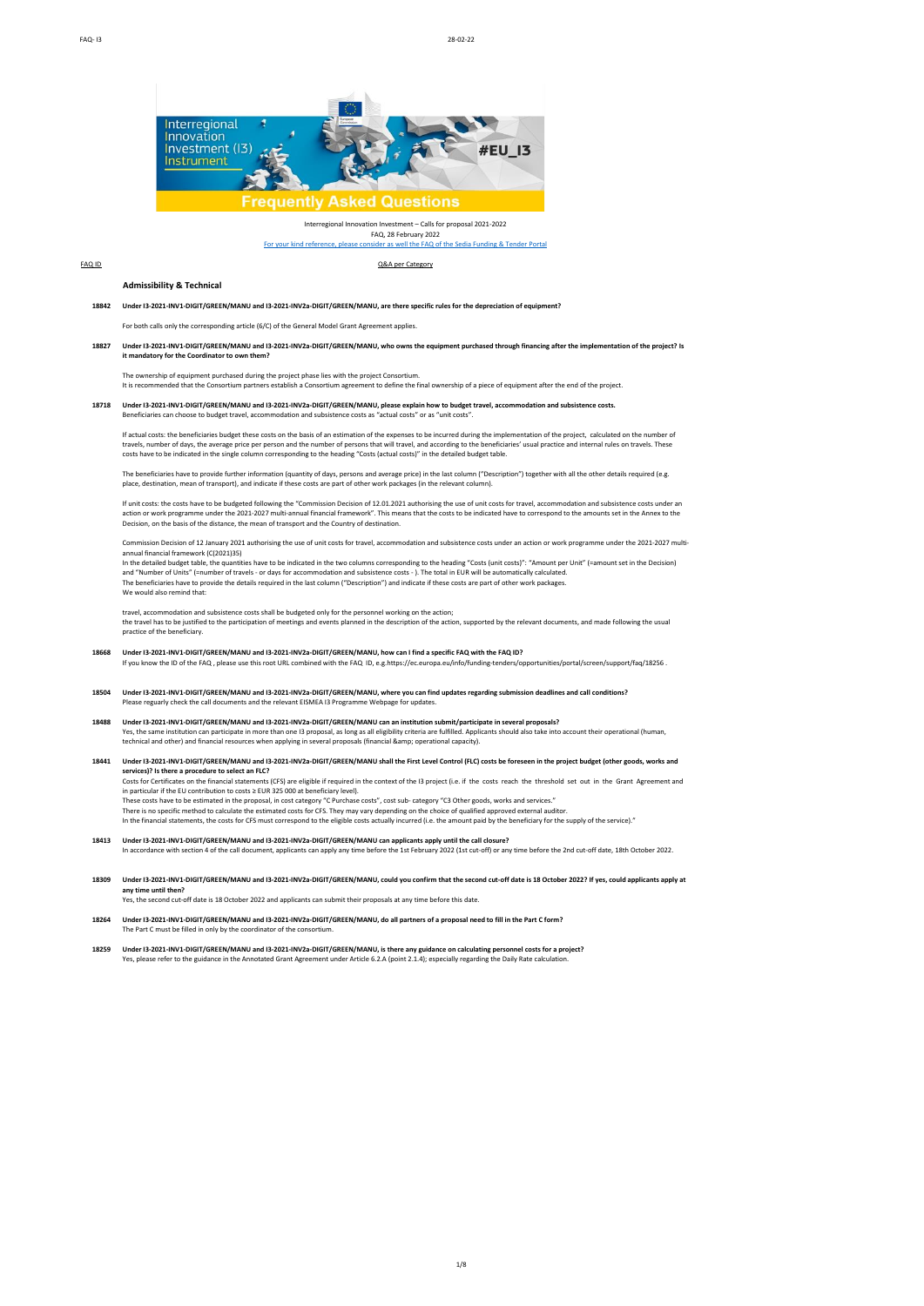

Interregional Innovation Investment – Calls for proposal 2021-2022 FAQ, 28 February 2022<br>Insider as well the FAQ of the [For your kind reference, please consider as well the FAQ of the Sedia Funding & Tender Portal](https://ec.europa.eu/info/funding-tenders/opportunities/portal/screen/support/faq;type=0,1;categories=;programme=null;keyword=;freeTextSearchKeyword=;matchWholeText=true;period=null;status=0,1;sortQuery=relevance;faqListKey=faqSearchTablePageState)

FAQ ID Q&A per Category

#### **Admissibility & Technical**

**18842 Q Under I3-2021-INV1-DIGIT/GREEN/MANU and I3-2021-INV2a-DIGIT/GREEN/MANU, are there specific rules for the depreciation of equipment?**

For both calls only the corresponding article (6/C) of the General Model Grant Agreement applies

**18827 Q Under I3-2021-INV1-DIGIT/GREEN/MANU and I3-2021-INV2a-DIGIT/GREEN/MANU, who owns the equipment purchased through financing after the implementation of the project? Is it mandatory for the Coordinator to own them?** 

The ownership of equipment purchased during the project phase lies with the project Consortium. It is recommended that the Consortium partners establish a Consortium agreement to define the final ownership of a piece of equipment after the end of the project.

18718 Under I3-2021-INV1-DIGIT/GREEN/MANU and I3-2021-INV2a-DIGIT/GREEN/MANU, please explain how to budget travel, accommodation and subsistence costs.<br>Beneficiaries can choose to budget travel, accommodation and subsisten

If actual costs: the beneficiaries budget these costs on the basis of an estimation of the expenses to be incurred during the implementation of the project, calculated on the number of<br>travels, number of days, the average costs have to be indicated in the single column corresponding to the heading "Costs (actual costs)" in the detailed budget table.

The beneficiaries have to provide further information (quantity of days, persons and average price) in the last column ("Description") together with all the other details required (e.g.<br>place, destination, mean of transpor

If unit costs: the costs have to be budgeted following the "Commission Decision of 12.01.2021 authorising the use of unit costs for travel, accommodation and subsistence costs under an action or work programme under the 2021-2027 multi-annual financial framework". This means that the costs to be indicated have to correspond to the amounts set in the Annex to the<br>Decision, on the basis of the distance, th

Commission Decision of 12 January 2021 authorising the use of unit costs for travel, accommodation and subsistence costs under an action or work programme under the 2021-2027 multiannual financial framework (C(2021)35) In the detailed budget table, the quantities have to be indicated in the two columns corresponding to the heading "Costs (unit costs)": "Amount per Unit" (=amount set in the Decision)

and "Number of Units" (=number of travels - or days for accommodation and subsistence costs - ). The total in EUR will be automatically calculated.<br>The beneficiaries have to provide the details required in the last column

We would also remind that:

travel, accommodation and subsistence costs shall be budgeted only for the personnel working on the action;<br>the travel has to be justified to the participation of meetings and events planned in the description of the actio practice of the beneficiary.

#### **18668 Q Under I3-2021-INV1-DIGIT/GREEN/MANU and I3-2021-INV2a-DIGIT/GREEN/MANU, how can I find a specific FAQ with the FAQ ID?** If you know the ID of the FAQ, please use this root URL combined with the FAQ ID, e.g.https://ec.europa.eu/info/funding-tend

**18504 Q Under I3-2021-INV1-DIGIT/GREEN/MANU and I3-2021-INV2a-DIGIT/GREEN/MANU, where you can find updates regarding submission deadlines and call conditions?** Please reguarly check the call documents and the relevant EISMEA I3 Programme Webpage for updates

**18488 Q Under I3-2021-INV1-DIGIT/GREEN/MANU and I3-2021-INV2a-DIGIT/GREEN/MANU can an institution submit/participate in several proposals?**  Yes, the same institution can participate in more than one 13 proposal, as long as all eligibility criteria are fulfilled. Applicants should also take into account their operational (human,<br>technical and other) and financi

**18441 Q Under I3-2021-INV1-DIGIT/GREEN/MANU and I3-2021-INV2a-DIGIT/GREEN/MANU shall the First Level Control (FLC) costs be foreseen in the project budget (other goods, works and services)? Is there a procedure to select an FLC?** Costs for Certificates on the financial statements (CFS) are eligible if required in the context of the I3 project (i.e. if the costs reach the threshold set out in the Grant Agreement and in particular if the EU contribution to costs ≥ EUR 325 000 at beneficiary level).<br>These costs have to be estimated in the proposal, in cost category "C Purchase costs", cost sub- category "C3 Other goods, works and servi In the financial statements, the costs for CFS must correspond to the eligible costs actually incurred (i.e. the amount paid by the beneficiary for the supply of the service)."

**18413 Q Under I3-2021-INV1-DIGIT/GREEN/MANU and I3-2021-INV2a-DIGIT/GREEN/MANU can applicants apply until the call closure?**

A In accordance with section 4 of the call document, applicants can apply any time before the 1st February 2022 (1st cut-off) or any time before the 2nd cut-off date, 18th October 2022.

- **18309 Q Under I3-2021-INV1-DIGIT/GREEN/MANU and I3-2021-INV2a-DIGIT/GREEN/MANU, could you confirm that the second cut-off date is 18 October 2022? If yes, could applicants apply at any time until then?** Yes, the second cut-off date is 18 October 2022 and applicants can submit their proposals at any time before this date
- 18264 Under 13-2021-INV1-DIGIT/GREEN/MANU and I3-2021-INV2a-DIGIT/GREEN/MANU, do all partners of a proposal need to fill in the Part C form?<br>The Part C must be filled in only by the coordinator of the consortium.
- **18259 Q Under I3-2021-INV1-DIGIT/GREEN/MANU and I3-2021-INV2a-DIGIT/GREEN/MANU, is there any guidance on calculating personnel costs for a project?** Yes, please refer to the guidance in the Annotated Grant Agreement under Article 6.2.A (point 2.1.4); especially regarding the Daily Rate calcul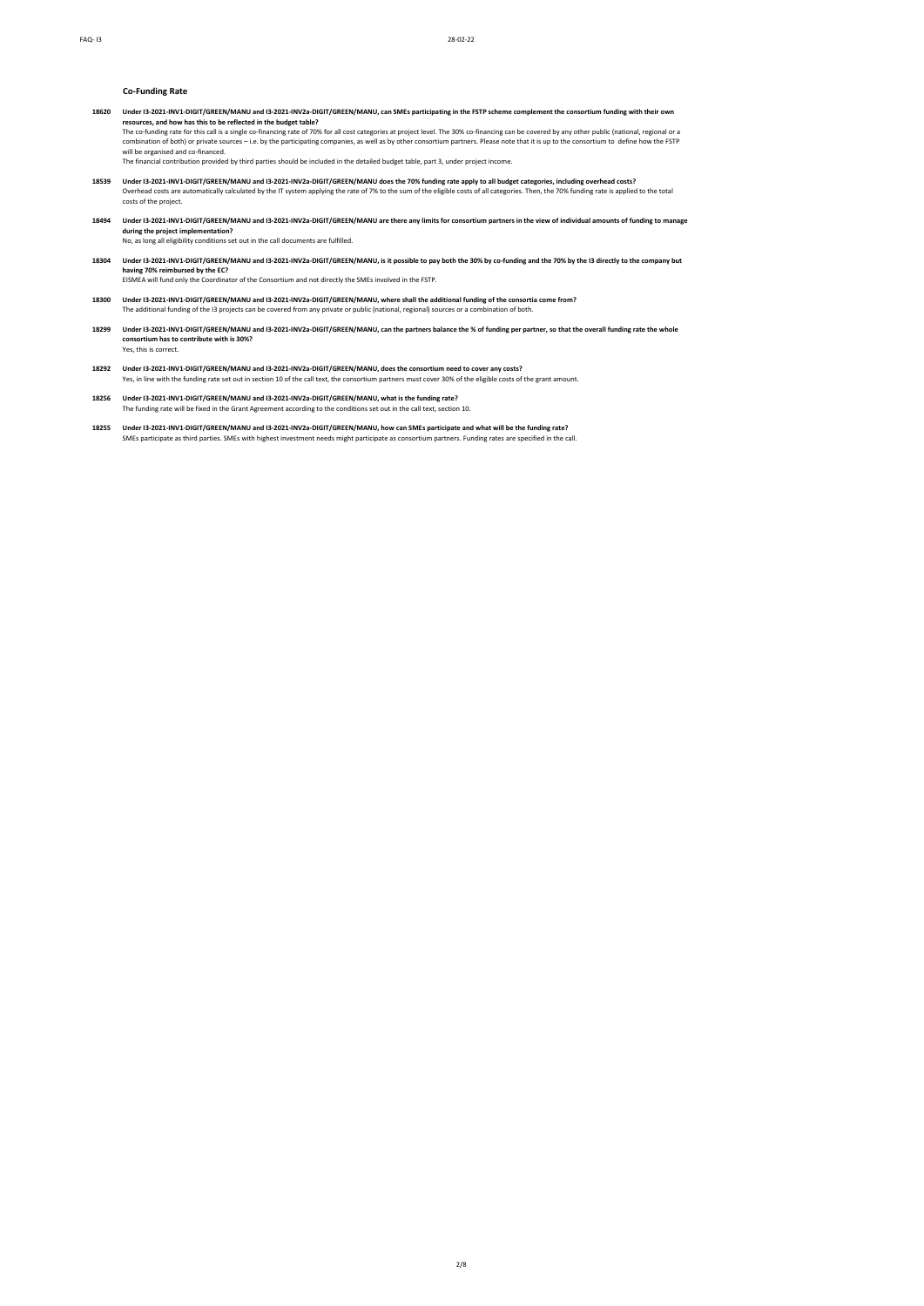## **Co-Funding Rate**

**18620 Q Under I3-2021-INV1-DIGIT/GREEN/MANU and I3-2021-INV2a-DIGIT/GREEN/MANU, can SMEs participating in the FSTP scheme complement the consortium funding with their own resources, and how has this to be reflected in the budget table?** The co-funding rate for this call is a single co-financing rate of 70% for all cost categories at project level. The 30% co-financing can be covered by any other public (national, regional or a<br>combination of both) or priv

will be organised and co-financed. The financial contribution provided by third parties should be included in the detailed budget table, part 3, under project income.

- Worder 13-2021-INV1-DIGIT/GREEN/MANU and 13-2021-INV2a-DIGIT/GREEN/MANU does the 70% funding rate apply to all budget categories, including overhead costs?<br>Overhead costs are automatically calculated by the IT system apply
- **18494 Q Under I3-2021-INV1-DIGIT/GREEN/MANU and I3-2021-INV2a-DIGIT/GREEN/MANU are there any limits for consortium partners in the view of individual amounts of funding to manage during the project implementation?**<br>No, as long all eligibility conditions set out in the call documents are fulfilled.
- **18304 Q Under I3-2021-INV1-DIGIT/GREEN/MANU and I3-2021-INV2a-DIGIT/GREEN/MANU, is it possible to pay both the 30% by co-funding and the 70% by the I3 directly to the company but having 70% reimbursed by the EC?** A EISMEA will fund only the Coordinator of the Consortium and not directly the SMEs involved in the FSTP.
- **18300 Q Under I3-2021-INV1-DIGIT/GREEN/MANU and I3-2021-INV2a-DIGIT/GREEN/MANU, where shall the additional funding of the consortia come from?** A The additional funding of the I3 projects can be covered from any private or public (national, regional) sources or a combination of both.
- **18299 Q Under I3-2021-INV1-DIGIT/GREEN/MANU and I3-2021-INV2a-DIGIT/GREEN/MANU, can the partners balance the % of funding per partner, so that the overall funding rate the whole consortium has to contribute with is 30%?** Yes, this is correct.
- 1**8292** Under 13-2**021-INV1-DIGIT/GREEN/MANU and I3-2021-INV2a-DIGIT/GREEN/MANU, does the consortium need to cover any costs?<br>Yes, in line with the funding rate set out in section 10 of the call text, the consortium partne**
- **18256 Q Under I3-2021-INV1-DIGIT/GREEN/MANU and I3-2021-INV2a-DIGIT/GREEN/MANU, what is the funding rate?** A The funding rate will be fixed in the Grant Agreement according to the conditions set out in the call text, section 10.
- **18255 Q Under I3-2021-INV1-DIGIT/GREEN/MANU and I3-2021-INV2a-DIGIT/GREEN/MANU, how can SMEs participate and what will be the funding rate?** SMEs participate as third parties. SMEs with highest investment needs might participate as consortium partners. Funding rates are specified in the call.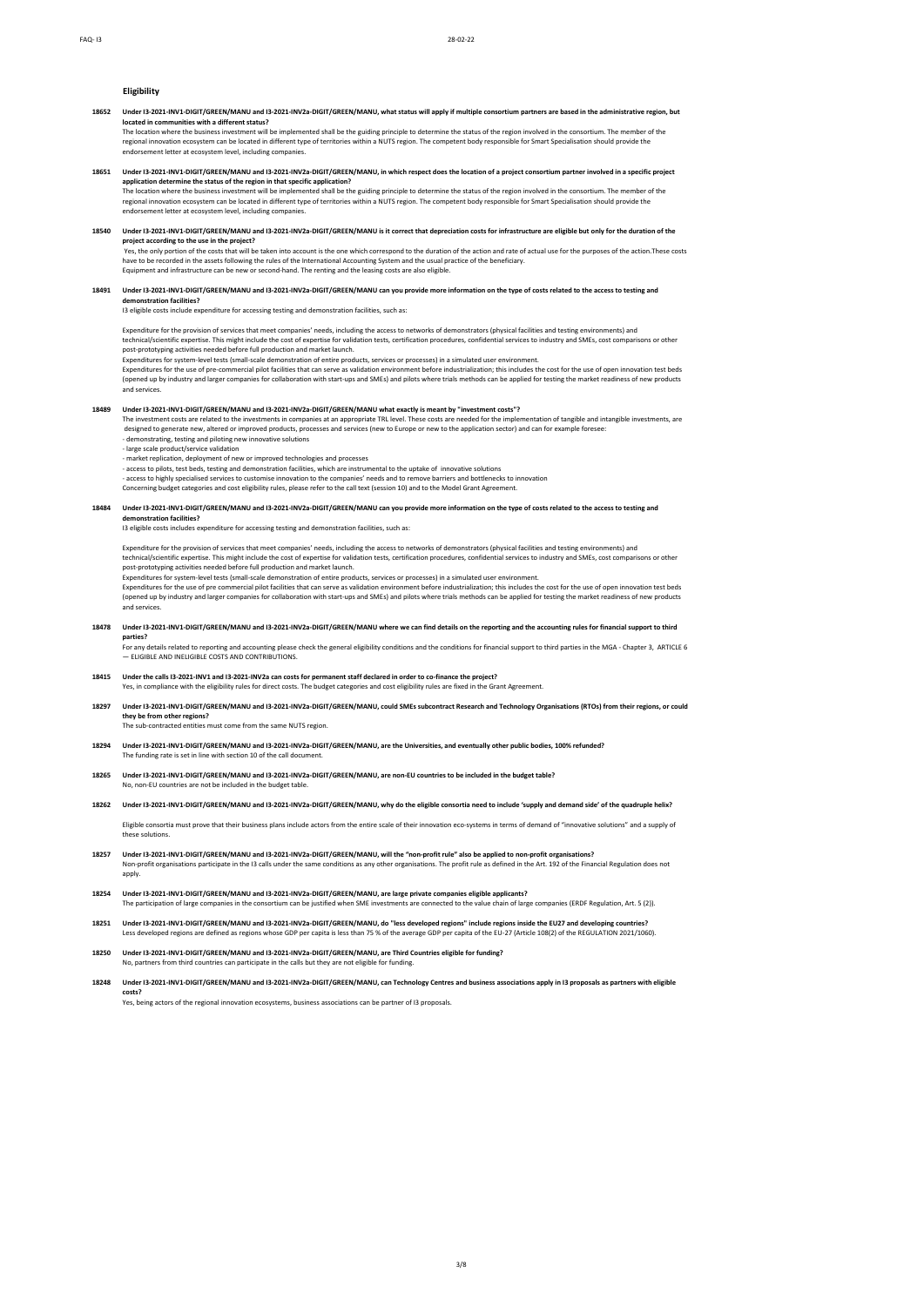## **Eligibility**

**18652 Q Under I3-2021-INV1-DIGIT/GREEN/MANU and I3-2021-INV2a-DIGIT/GREEN/MANU, what status will apply if multiple consortium partners are based in the administrative region, but** 

l**ocated in communities with a different status?**<br>The location where the business investment will be implemented shall be the guiding principle to determine the status of the region involved in the consortium. The member o regional innovation ecosystem can be located in different type of territories within a NUTS region. The competent body responsible for Smart Specialisation should provide the en and control of the control of the control of the control of the control of the control of the control of the control of the control of the control of the control of the control of the control of the control of the contr

**18651 Q Under I3-2021-INV1-DIGIT/GREEN/MANU and I3-2021-INV2a-DIGIT/GREEN/MANU, in which respect does the location of a project consortium partner involved in a specific project** 

application determine the status of the region in that specific application?<br>The location where the business investment will be implemented shall be the guiding principle to determine the status of the region involved in t endorsement letter at ecosystem level, including companies.

#### **18540 Q Under I3-2021-INV1-DIGIT/GREEN/MANU and I3-2021-INV2a-DIGIT/GREEN/MANU is it correct that depreciation costs for infrastructure are eligible but only for the duration of the project according to the use in the project?**

.<br>Yes, the only portion of the costs that will be taken into account is the one which correspond to the duration of the action and rate of actual use for the purposes of the action. These costs have to be recorded in the assets following the rules of the International Accounting System and the usual practice of the beneficiary.<br>Equipment and infrastructure can be new or second-hand. The renting and the leasing co

### **18491 Q Under I3-2021-INV1-DIGIT/GREEN/MANU and I3-2021-INV2a-DIGIT/GREEN/MANU can you provide more information on the type of costs related to the access to testing and demonstration facilities?**

13 eligible costs include expenditure for accessing testing and demonstration facilities, such as:

Expenditure for the provision of services that meet companies' needs, including the access to networks of demonstrators (physical facilities and testing environments) and technical/scientific expertise. This might include the cost of expertise for validation tests, certification procedures, confidential services to industry and SMEs, cost comparisons or other<br>post-prototyping activities nee

Expenditures for system-level tests (small-scale demonstration of entire products, services or processes) in a simulated user environment. Expenditures for the use of pre-commercial pilot facilities that can serve as validation environment before industrialization; this includes the cost for the use of open innovation test beds<br>(opened up by industry and larg and services.

### **18489 Q Under I3-2021-INV1-DIGIT/GREEN/MANU and I3-2021-INV2a-DIGIT/GREEN/MANU what exactly is meant by "investment costs"?**

The investment costs are related to the investments in companies at an appropriate TRL level. These costs are needed for the implementation of tangible and intangible investments, are designed to generate new, altered or improved products, processes and services (new to Europe or new to the application sector) and can for example foresee

- demonstrating, testing and piloting new innovative solutions - large scale product/service validation

- market replication, deployment of new or improved technologies and processes

- access to pilots, test beds, testing and demonstration facilities, which are instrumental to the uptake of innovative solutions

- access to highly specialised services to customise innovation to the companies' needs and to remove barriers and bottlenecks to innovation<br>Concerning budget categories and cost eligibility rules, please refer to the call

## **18484 Q Under I3-2021-INV1-DIGIT/GREEN/MANU and I3-2021-INV2a-DIGIT/GREEN/MANU can you provide more information on the type of costs related to the access to testing and**

**demonstration facilities?**<br>I3 eligible costs includes expenditure for accessing testing and demonstration facilities, such as:

Expenditure for the provision of services that meet companies' needs, including the access to networks of demonstrators (physical facilities and testing environments) and<br>technical/scientific expertise. This might include post-prototyping activities needed before full production and market launch.

Expenditures for system-level tests (small-scale demonstration of entire products, services or processes) in a simulated user environment.<br>Expenditures for the use of pre commercial pilot factament brank on the memotor of and services

#### **18478 Q Under I3-2021-INV1-DIGIT/GREEN/MANU and I3-2021-INV2a-DIGIT/GREEN/MANU where we can find details on the reporting and the accounting rules for financial support to third parties?**

For any details related to reporting and accounting please check the general eligibility conditions and the conditions for financial support to third parties in the MGA - Chapter 3, ARTICLE 6<br>— ELIGIBLE AND INELIGIBLE COS

**18415 Q Under the calls I3-2021-INV1 and I3-2021-INV2a can costs for permanent staff declared in order to co-finance the project?** Yes, in compliance with the eligibility rules for direct costs. The budget categories and cost eligibility rules are fixed in the Grant Agreement

**18297 Q Under I3-2021-INV1-DIGIT/GREEN/MANU and I3-2021-INV2a-DIGIT/GREEN/MANU, could SMEs subcontract Research and Technology Organisations (RTOs) from their regions, or could they be from other regions?** A The sub-contracted entities must come from the same NUTS region.

**18294 Q Under I3-2021-INV1-DIGIT/GREEN/MANU and I3-2021-INV2a-DIGIT/GREEN/MANU, are the Universities, and eventually other public bodies, 100% refunded?** The funding rate is set in line with section 10 of the call document.

**18265 Q Under I3-2021-INV1-DIGIT/GREEN/MANU and I3-2021-INV2a-DIGIT/GREEN/MANU, are non-EU countries to be included in the budget table?** No, non-EU countries are not be included in the budget table

**18262 Q Under I3-2021-INV1-DIGIT/GREEN/MANU and I3-2021-INV2a-DIGIT/GREEN/MANU, why do the eligible consortia need to include 'supply and demand side' of the quadruple helix?**

Eligible consortia must prove that their business plans include actors from the entire scale of their innovation eco-systems in terms of demand of "innovative solutions" and a supply of these solutions.

- **18257 Q Under I3-2021-INV1-DIGIT/GREEN/MANU and I3-2021-INV2a-DIGIT/GREEN/MANU, will the "non-profit rule" also be applied to non-profit organisations?** Non-profit organisations participate in the I3 calls under the same conditions as any other organisations. The profit rule as defined in the Art. 192 of the Financial Regulation does not apply.
- **18254 Q Under I3-2021-INV1-DIGIT/GREEN/MANU and I3-2021-INV2a-DIGIT/GREEN/MANU, are large private companies eligible applicants?** A The participation of large companies in the consortium can be justified when SME investments are connected to the value chain of large companies (ERDF Regulation, Art. 5 (2)).

**18251 Q Under I3-2021-INV1-DIGIT/GREEN/MANU and I3-2021-INV2a-DIGIT/GREEN/MANU, do "less developed regions" include regions inside the EU27 and developing countries?** A Less developed regions are defined as regions whose GDP per capita is less than 75 % of the average GDP per capita of the EU-27 (Article 108(2) of the REGULATION 2021/1060).

Under 13-2021-INV1-DIGIT/GREEN/MANU and 13-2021-INV2a-DIGIT/GREEN/MANU, are Third Countries eligible for funding?<br>No, partners from third countries can participate in the calls but they are not eligible for funding.

**18248 Q Under I3-2021-INV1-DIGIT/GREEN/MANU and I3-2021-INV2a-DIGIT/GREEN/MANU, can Technology Centres and business associations apply in I3 proposals as partners with eligible costs?**<br>Yes, being actors of the regional innovation ecosystems, business associations can be partner of I3 proposals.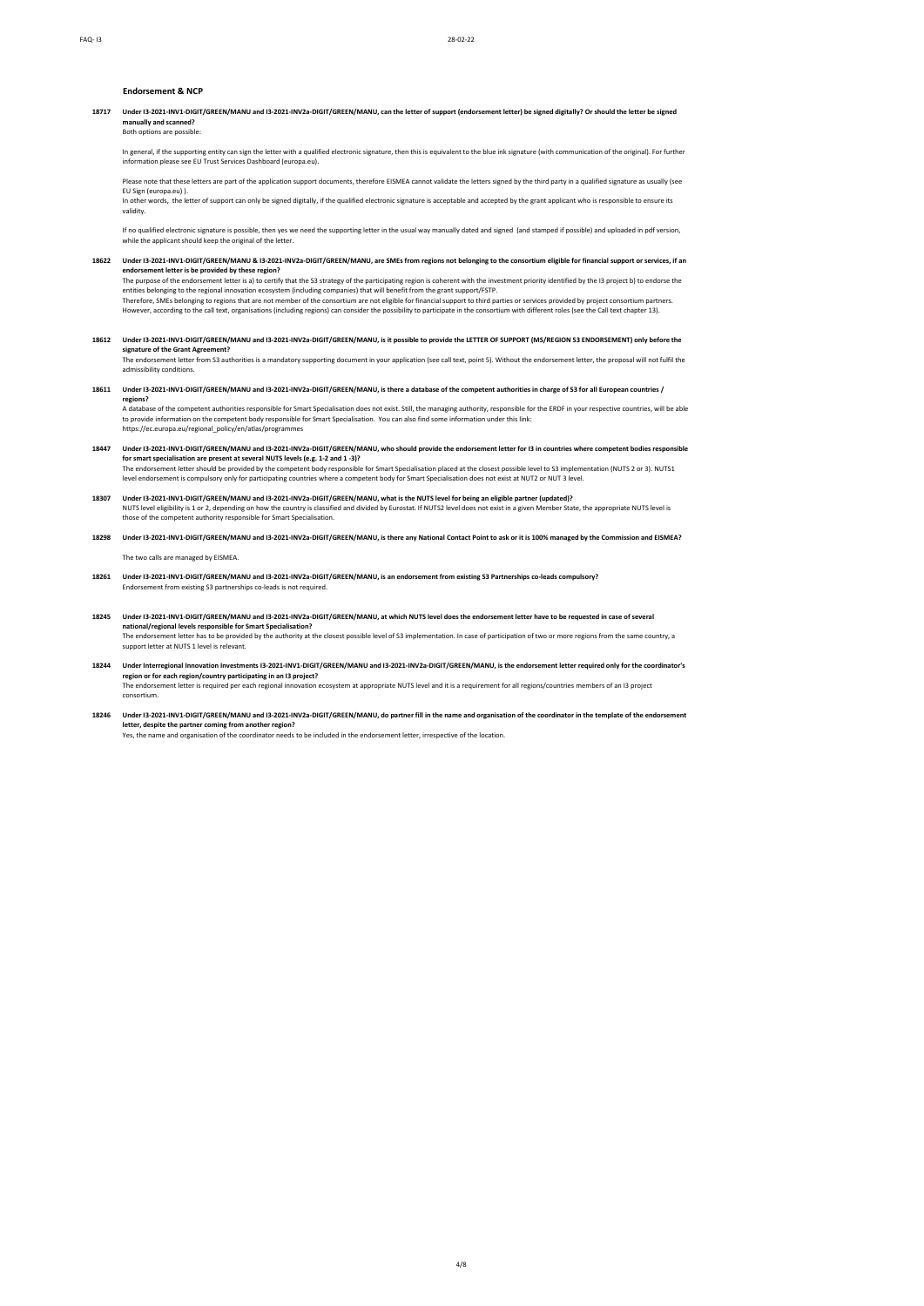## **Endorsement & NCP**

**18717 Q Under I3-2021-INV1-DIGIT/GREEN/MANU and I3-2021-INV2a-DIGIT/GREEN/MANU, can the letter of support (endorsement letter) be signed digitally? Or should the letter be signed**  manually and scann Both options are possible

# In general, if the supporting entity can sign the letter with a qualified electronic signature, then this is equivalent to the blue ink signature (with communication of the original). For further<br>information please see EU

Please note that these letters are part of the application support documents, therefore EISMEA cannot validate the letters signed by the third party in a qualified signature as usually (see EU Sign (europa.eu) ).

In other words, the letter of support can only be signed digitally, if the qualified electronic signature is acceptable and accepted by the grant applicant who is responsible to ensure its validity.

If no qualified electronic signature is possible, then yes we need the supporting letter in the usual way manually dated and signed (and stamped if possible) and uploaded in pdf version,<br>while the applicant should keep the

**18622 Q Under I3-2021-INV1-DIGIT/GREEN/MANU & I3-2021-INV2a-DIGIT/GREEN/MANU, are SMEs from regions not belonging to the consortium eligible for financial support or services, if an endorsement letter is be provided by these region?**

The purpose of the endorsement letter is a) to certify that the S3 strategy of the participating region is coherent with the investment priority identified by the I3 project b) to endorse the<br>This belonging to the regional

- **18612 Q Under I3-2021-INV1-DIGIT/GREEN/MANU and I3-2021-INV2a-DIGIT/GREEN/MANU, is it possible to provide the LETTER OF SUPPORT (MS/REGION S3 ENDORSEMENT) only before the signature of the Grant Agreement?**
	- The endorsement letter from S3 authorities is a mandatory supporting document in your application (see call text, point 5). Without the endorsement letter, the proposal will not fulfil the<br>admissibility conditions.
- **18611 Q Under I3-2021-INV1-DIGIT/GREEN/MANU and I3-2021-INV2a-DIGIT/GREEN/MANU, is there a database of the competent authorities in charge of S3 for all European countries /**

**regions?**<br>A database of the competent authorities responsible for Smart Specialisation does not exist. Still, the managing authority, responsible for the ERDF in your respective countries, will be able to provide information on the competent body responsible for Smart Specialisation. You can also find some information under this link: https://ec.europa.eu/regional\_policy/en/atlas/programmes

- **18447 Q Under I3-2021-INV1-DIGIT/GREEN/MANU and I3-2021-INV2a-DIGIT/GREEN/MANU, who should provide the endorsement letter for I3 in countries where competent bodies responsible**  for smart specialisation are present at several NUTS levels (e.g. 1-2 and 1 -3)?<br>The endorsement letter should be provided by the competent body responsible for Smart Specialisation placed at the closest possible level to level endorsement is compulsory only for participating countries where a competent body for Smart Specialisation does not exist at NUT2 or NUT 3 level.
- 1**8307 Under 13-2021-INV1-DIGIT/GREEN/MANU and 13-2021-INV2a-DIGIT/GREEN/MANU, what is the NUTS level for being an eligible partner (updated)?<br>NUTS level eligibility is 1 or 2, depending on how the country is classified an**
- **18298 Q Under I3-2021-INV1-DIGIT/GREEN/MANU and I3-2021-INV2a-DIGIT/GREEN/MANU, is there any National Contact Point to ask or it is 100% managed by the Commission and EISMEA?**

The two calls are managed by EISMEA.

- 18261 Under I3-2021-INV1-DIGIT/GREEN/MANU and I3-2021-INV2a-DIGIT/GREEN/MANU, is an endorsement from existing S3 Partnerships co-leads compulsory?<br>Endorsement from existing S3 partnerships co-leads is not required.
- **18245 Q Under I3-2021-INV1-DIGIT/GREEN/MANU and I3-2021-INV2a-DIGIT/GREEN/MANU, at which NUTS level does the endorsement letter have to be requested in case of several**  national**/regional levels responsible for Smart Specialisation?**<br>The endorsement letter has to be provided by the authority at the closest possible level of S3 implementation. In case of participation of two or more region support letter at NUTS 1 level is relevant.
- 18244 Under Interregional Innovation Investments I3-2021-INV1-DIGIT/GREEN/MANU and I3-2021-INV2a-DIGIT/GREEN/MANU, is the endorsement letter required only for the coordinator's<br>region or for each region/country participat A The endorsement letter is required per each regional innovation ecosystem at appropriate NUTS level and it is a requirement for all regions/countries members of an I3 project consortium.
- **18246 Q Under I3-2021-INV1-DIGIT/GREEN/MANU and I3-2021-INV2a-DIGIT/GREEN/MANU, do partner fill in the name and organisation of the coordinator in the template of the endorsement letter, despite the partner coming from another region?**<br>Yes, the name and organisation of the coordinator needs to be included in the endorsement letter, irrespective of the location.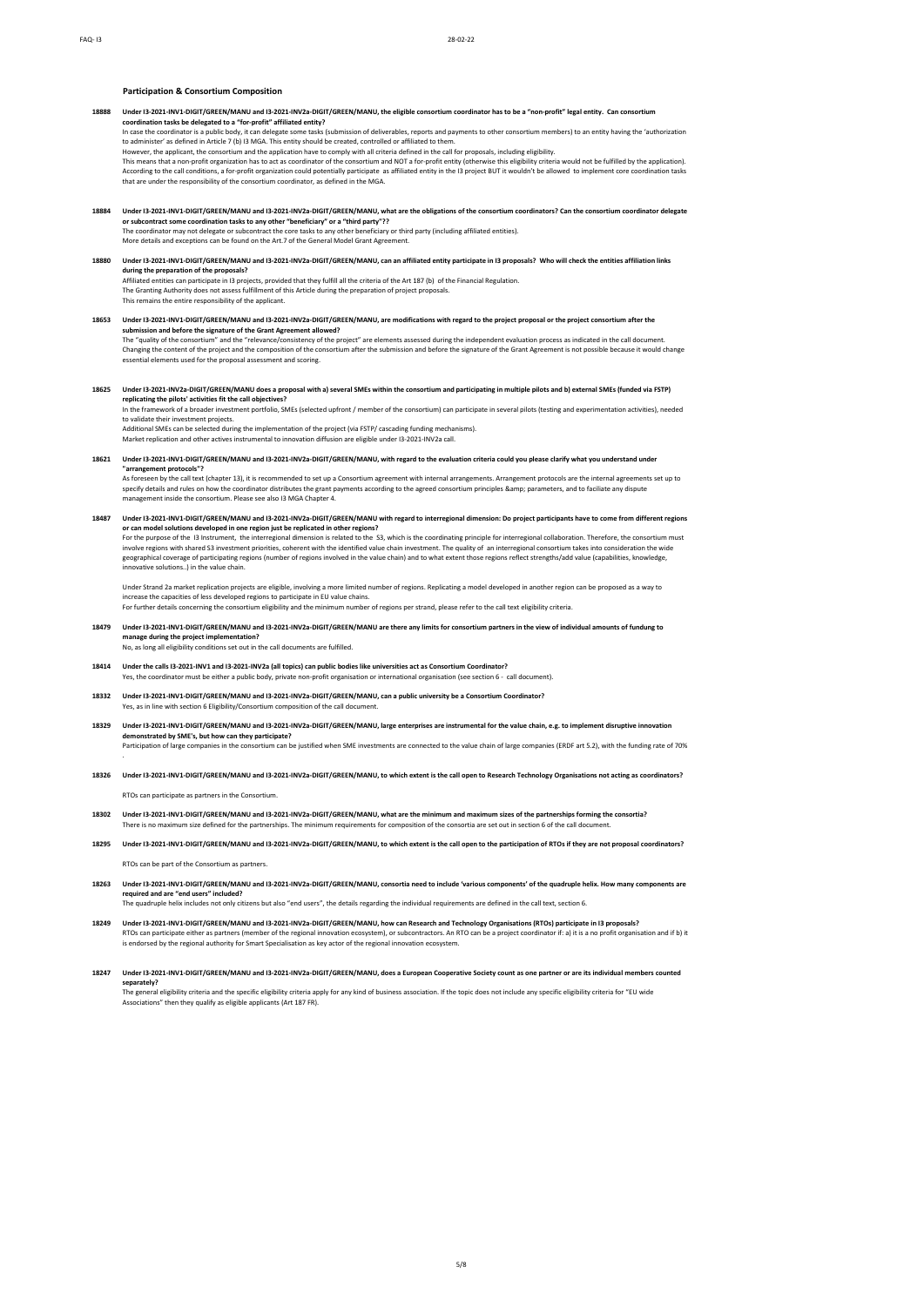## **Participation & Consortium Composition**

- **18888 Q Under I3-2021-INV1-DIGIT/GREEN/MANU and I3-2021-INV2a-DIGIT/GREEN/MANU, the eligible consortium coordinator has to be a "non-profit" legal entity. Can consortium coordination tasks be delegated to a "for-profit" affiliated entity?** In case the coordinator is a public body, it can delegate some tasks (submission of deliverables, reports and payments to other consortium members) to an entity having the 'authorization
	- to administer' as defined in Article 7 (b) I3 MGA. This entity should be created, controlled or affiliated to then

However, the applicant, the consortium and the application have to comply with all criteria defined in the call for proposals, including eligibility.<br>This means that a non-profit organization has to act as coordinator of t According to the call conditions, a for-profit organization could potentially participate as affiliated entity in the I3 project BUT it wouldn't be allowed to implement core coordination tasks that are under the responsibility of the consortium coordinator, as defined in the MGA.

# **18884 Q Under I3-2021-INV1-DIGIT/GREEN/MANU and I3-2021-INV2a-DIGIT/GREEN/MANU, what are the obligations of the consortium coordinators? Can the consortium coordinator delegate**

or subcontract some coordination tasks to any other "beneficiary" or a "third party"??<br>The coordinator may not delegate or subcontract the core tasks to any other beneficiary or third party (including affiliated entities).

**18880 Q Under I3-2021-INV1-DIGIT/GREEN/MANU and I3-2021-INV2a-DIGIT/GREEN/MANU, can an affiliated entity participate in I3 proposals? Who will check the entities affiliation links during the preparation of the proposals?**

Affiliated entities can participate in 13 projects, provided that they fulfill all the criteria of the Art 187 (b) of the Financial Regulation<br>The Granting Authority does not assess fulfillment of this Article during the p

- **18653 Q Under I3-2021-INV1-DIGIT/GREEN/MANU and I3-2021-INV2a-DIGIT/GREEN/MANU, are modifications with regard to the project proposal or the project consortium after the submission and before the signature of the Grant Agreement allowed?** The "quality of the consortium" and the "relevance/consistency of the project" are elements assessed during the independent evaluation process as indicated in the call document.<br>Changing the content of the project and the essential elements used for the proposal assessment and scoring.
- **18625 Q Under I3-2021-INV2a-DIGIT/GREEN/MANU does a proposal with a) several SMEs within the consortium and participating in multiple pilots and b) external SMEs (funded via FSTP)**  r**eplicating the pilots' activities fit the call objectives?**<br>In the framework of a broader investment portfolio, SMEs (selected upfront / member of the consortium) can participate in several pilots (testing and experiment

to validate their investment projects.

Additional SMEs can be selected during the implementation of the project (via FSTP/ cascading funding mechanisms).<br>Market replication and other actives instrumental to innovation diffusion are eligible under I3-2021-INV2a

- **18621 Q Under I3-2021-INV1-DIGIT/GREEN/MANU and I3-2021-INV2a-DIGIT/GREEN/MANU, with regard to the evaluation criteria could you please clarify what you understand under**  "arrangement protocols"?<br>As foreseen by the call text (chapter 13), it is recommended to set up a Consortium agreement with internal arrangements. Arrangement protocols are the internal agreements set up to<br>specify details
- management inside the consortium. Please see also I3 MGA Chapter 4. **18487 Q Under I3-2021-INV1-DIGIT/GREEN/MANU and I3-2021-INV2a-DIGIT/GREEN/MANU with regard to interregional dimension: Do project participants have to come from different regions**

or can model solutions developed in one region just be replicated in other regions?<br>For the purpose of the 13 Instrument, the interregional dimension is related to the S3, which is the coordinating principle for interregio innovative solutions..) in the value chain.

Under Strand 2a market replication projects are eligible, involving a more limited number of regions. Replicating a model developed in another region can be proposed as a way to increase the capacities of less developed regions to participate in EU value chains.<br>For further details concerning the consortium eligibility and the minimum number of regions per strand, please refer to the call text eli

- **18479 Q Under I3-2021-INV1-DIGIT/GREEN/MANU and I3-2021-INV2a-DIGIT/GREEN/MANU are there any limits for consortium partners in the view of individual amounts of fundung to manage during the project implementation?**  A No, as long all eligibility conditions set out in the call documents are fulfilled.
- **18414 Q Under the calls I3-2021-INV1 and I3-2021-INV2a (all topics) can public bodies like universities act as Consortium Coordinator?** A Yes, the coordinator must be either a public body, private non-profit organisation or international organisation (see section 6 - call document).
- **18332 Q Under I3-2021-INV1-DIGIT/GREEN/MANU and I3-2021-INV2a-DIGIT/GREEN/MANU, can a public university be a Consortium Coordinator?** A Yes, as in line with section 6 Eligibility/Consortium composition of the call do
- **18329 Q Under I3-2021-INV1-DIGIT/GREEN/MANU and I3-2021-INV2a-DIGIT/GREEN/MANU, large enterprises are instrumental for the value chain, e.g. to implement disruptive innovation demonstrated by SME's, but how can they participate?** A Participation of large companies in the consortium can be justified when SME investments are connected to the value chain of large companies (ERDF art 5.2), with the funding rate of 70%
- .
- **18326 Q Under I3-2021-INV1-DIGIT/GREEN/MANU and I3-2021-INV2a-DIGIT/GREEN/MANU, to which extent is the call open to Research Technology Organisations not acting as coordinators?**

A RTOs can participate as partners in the Consortium.

- **18302 Q Under I3-2021-INV1-DIGIT/GREEN/MANU and I3-2021-INV2a-DIGIT/GREEN/MANU, what are the minimum and maximum sizes of the partnerships forming the consortia?** There is no maximum size defined for the partnerships. The minimum requirements for composition of the consortia are set out in section 6 of the call document
- **18295 Q Under I3-2021-INV1-DIGIT/GREEN/MANU and I3-2021-INV2a-DIGIT/GREEN/MANU, to which extent is the call open to the participation of RTOs if they are not proposal coordinators?** A RTOs can be part of the Consortium as partners.
- **18263 Q Under I3-2021-INV1-DIGIT/GREEN/MANU and I3-2021-INV2a-DIGIT/GREEN/MANU, consortia need to include 'various components' of the quadruple helix. How many components are required and are "end users" included?** A The quadruple helix includes not only citizens but also "end users", the details regarding the individual requirements are defined in the call text, section 6.
- **18249 Q Under I3-2021-INV1-DIGIT/GREEN/MANU and I3-2021-INV2a-DIGIT/GREEN/MANU, how can Research and Technology Organisations (RTOs) participate in I3 proposals?** RTOs can participate either as partners (member of the regional innovation ecosystem), or subcontractors. An RTO can be a project coordinator if: a) it is a no profit organisation and if b) it<br>is endorsed by the regional a
- **18247 Q Under I3-2021-INV1-DIGIT/GREEN/MANU and I3-2021-INV2a-DIGIT/GREEN/MANU, does a European Cooperative Society count as one partner or are its individual members counted**  separately?<br>The general eligibility criteria and the specific eligibility criteria apply for any kind of business association. If the topic does not include any specific eligibility criteria for "EU wide<br>Associations" then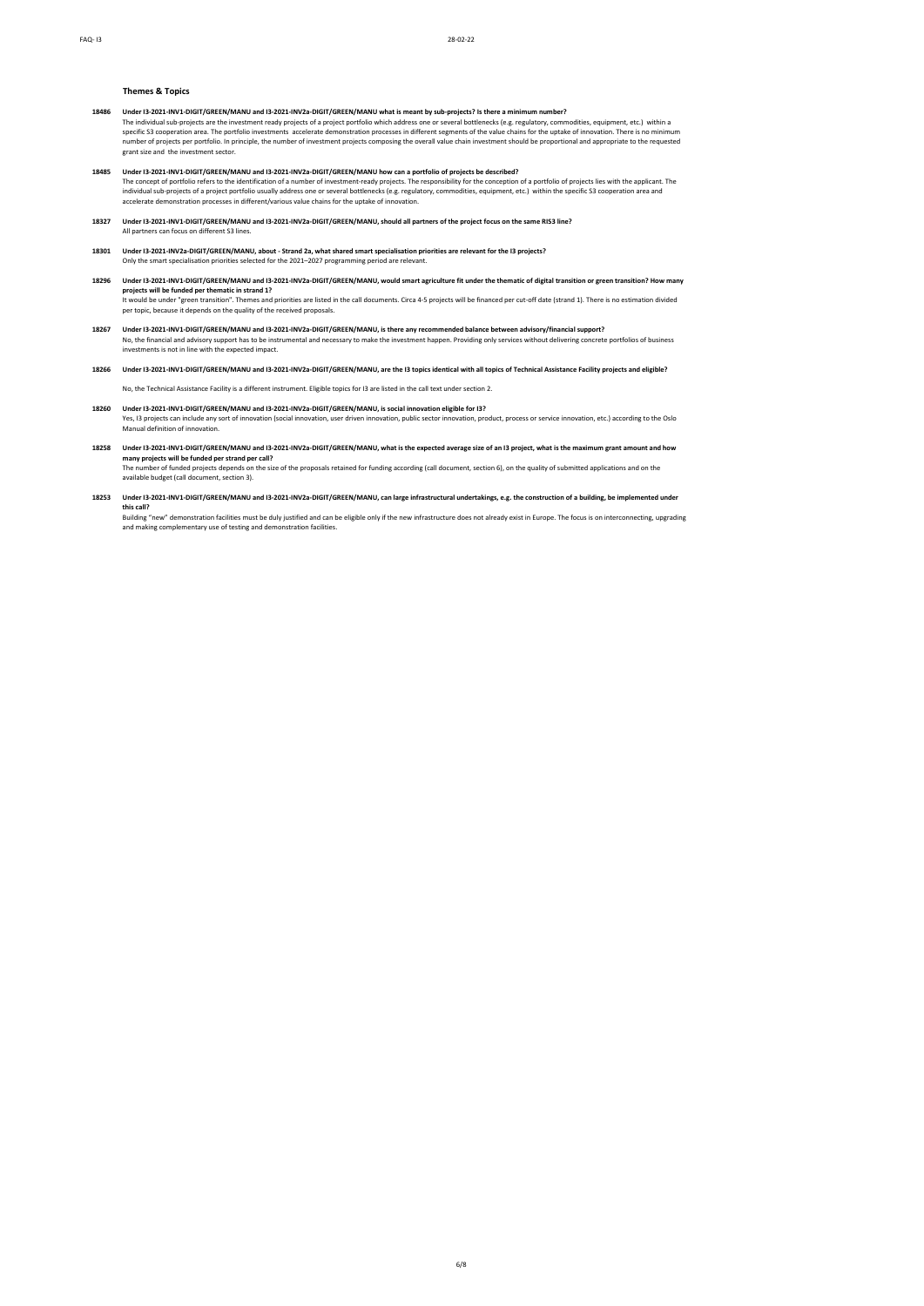## **Themes & Topics**

- 1**9486 Under 13-2021-INV1-DIGIT/GREEN/MANU and 13-2021-INV2a-DIGIT/GREEN/MANU what is meant by sub-projects? Is there a minimum number?<br>The individual sub-projects are the investment ready projects of a project portfolio w** number of projects per portfolio. In principle, the number of investment projects composing the overall value chain investment should be proportional and appropriate to the requested grant size and the investment sector.
- 19485 Under 13-2021-INV1-DIGIT/GREEN/MANU and 13-2021-INV2a-DIGIT/GREEN/MANU how can a portfolio of projects be described?<br>The concept of portfolio refers to the identification of a number of investment-ready projects. The
- **18327 Q Under I3-2021-INV1-DIGIT/GREEN/MANU and I3-2021-INV2a-DIGIT/GREEN/MANU, should all partners of the project focus on the same RIS3 line?** All partners can focus on different S3 lines.
- 1**8301** Under 13-2021-INV2a-DIGIT/GREEN/MANU, about Strand 2a, what shared smart specialisation priorities are relevant for the I3 projects?<br>Only the smart specialisation priorities selected for the 2021–2027 programming
- **18296 Q Under I3-2021-INV1-DIGIT/GREEN/MANU and I3-2021-INV2a-DIGIT/GREEN/MANU, would smart agriculture fit under the thematic of digital transition or green transition? How many**  projects will be funded per thematic in strand 1?<br>It would be under "green transition". Themes and priorities are listed in the call documents. Circa 4-5 projects will be financed per cut-off date (strand 1). There is no e per topic, because it depends on the quality of the received proposals.
- 18267 Under 13-2021-INV1-DIGIT/GREEN/MANU and 13-2021-INV2a-DIGIT/GREEN/MANU, is there any recommended balance between advisory/financial support?<br>No, the financial and advisory support has to be instrumental and necessary investments is not in line with the expected impact.
- **18266 Q Under I3-2021-INV1-DIGIT/GREEN/MANU and I3-2021-INV2a-DIGIT/GREEN/MANU, are the I3 topics identical with all topics of Technical Assistance Facility projects and eligible?**

A No, the Technical Assistance Facility is a different instrument. Eligible topics for I3 are listed in the call text under section 2.

- **18260 Q Under I3-2021-INV1-DIGIT/GREEN/MANU and I3-2021-INV2a-DIGIT/GREEN/MANU, is social innovation eligible for I3?** A Yes, I3 projects can include any sort of innovation (social innovation, user driven innovation, public sector innovation, product, process or service innovation, etc.) according to the Oslo Manual definition of innovation.
- **18258 Q Under I3-2021-INV1-DIGIT/GREEN/MANU and I3-2021-INV2a-DIGIT/GREEN/MANU, what is the expected average size of an I3 project, what is the maximum grant amount and how many projects will be funded per strand per call?** The number of funded projects depends on the size of the proposals retained for funding according (call document, section 6), on the quality of submitted applications and on the

railable budget (call document, section 3).

**18253 Q Under I3-2021-INV1-DIGIT/GREEN/MANU and I3-2021-INV2a-DIGIT/GREEN/MANU, can large infrastructural undertakings, e.g. the construction of a building, be implemented under this call?**

A Building "new" demonstration facilities must be duly justified and can be eligible only if the new infrastructure does not already exist in Europe. The focus is on interconnecting, upgrading and making complementary use of testing and demonstration facilities.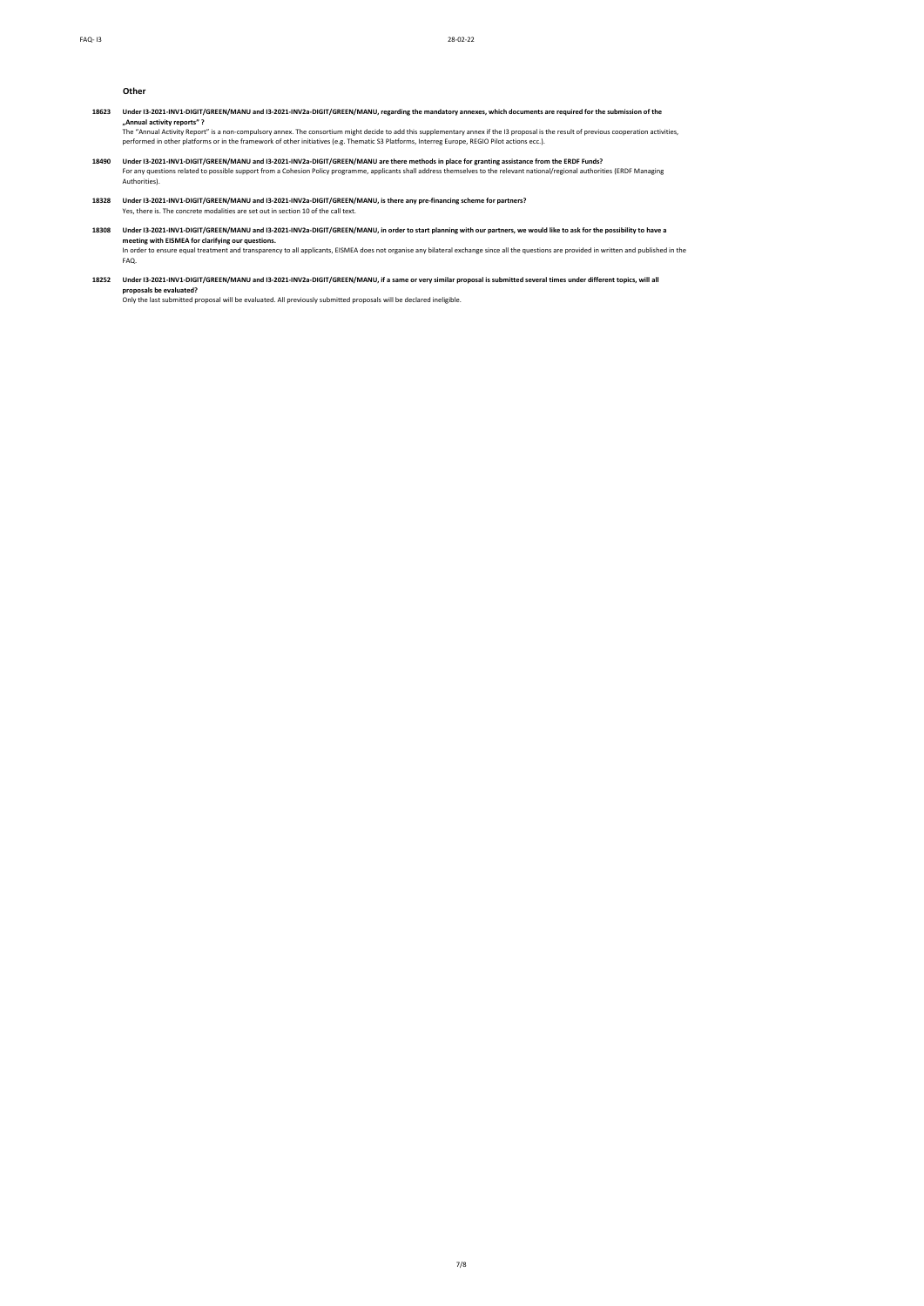**Other**

**18623 Q Under I3-2021-INV1-DIGIT/GREEN/MANU and I3-2021-INV2a-DIGIT/GREEN/MANU, regarding the mandatory annexes, which documents are required for the submission of the "Annual activity reports" ?**

The "Annual Activity Report" is a non-compulsory annex. The consortium might decide to add this supplementary annex if the 13 proposal is the result of previous cooperation activities,<br>performed in other platforms or in th

- **18490 Q Under I3-2021-INV1-DIGIT/GREEN/MANU and I3-2021-INV2a-DIGIT/GREEN/MANU are there methods in place for granting assistance from the ERDF Funds?** For any questions related to possible support from a Cohesion Policy programme, applicants shall address themselves to the relevant national/regional authorities (ERDF Managing<br>Authorities).
- **18328 Q Under I3-2021-INV1-DIGIT/GREEN/MANU and I3-2021-INV2a-DIGIT/GREEN/MANU, is there any pre-financing scheme for partners?** Yes, there is. The concrete modalities are set out in section 10 of the call text.
- 18308 Under 13-2021-INV1-DIGIT/GREEN/MANU and 13-2021-INV2a-DIGIT/GREEN/MANU, in order to start planning with our partners, we would like to ask for the possibility to have a<br>meeting with EISMEA for clarifying our question FAQ.
- **18252 Q Under I3-2021-INV1-DIGIT/GREEN/MANU and I3-2021-INV2a-DIGIT/GREEN/MANU, if a same or very similar proposal is submitted several times under different topics, will all proposals be evaluated?**<br>Only the last submitted proposal will be evaluated. All previously submitted proposals will be declared ineligible.